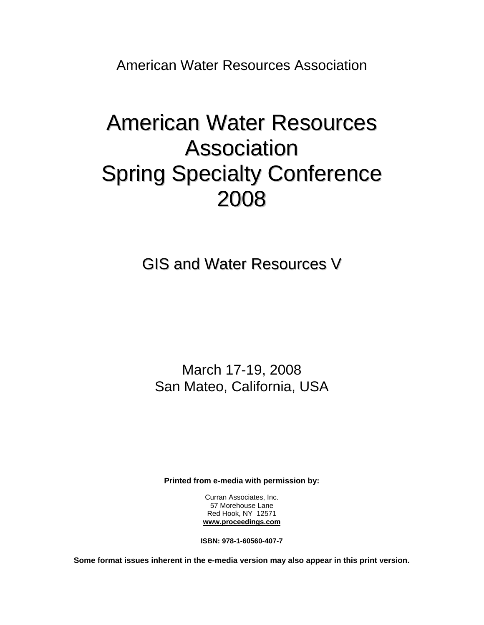American Water Resources Association

# American Water Resources Association Spring Specialty Conference 2008

GIS and Water Resources V

March 17-19, 2008 San Mateo, California, USA

**Printed from e-media with permission by:** 

Curran Associates, Inc. 57 Morehouse Lane Red Hook, NY 12571 **[www.proceedings.com](http://www.proceedings.com/)**

**ISBN: 978-1-60560-407-7** 

**Some format issues inherent in the e-media version may also appear in this print version.**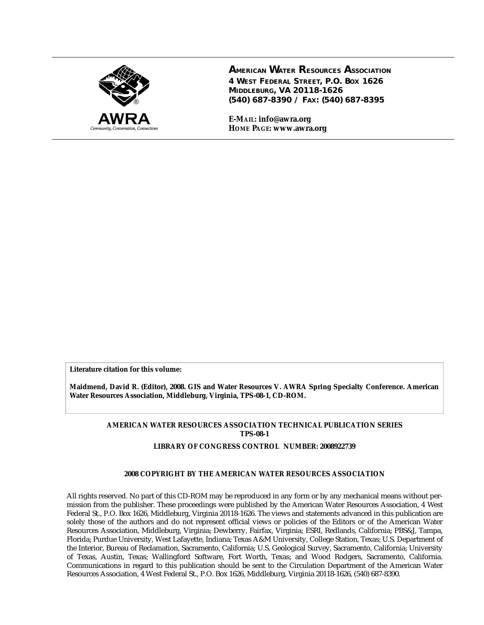

**AMERICAN WATER RESOURCES ASSOCIATION 4 WEST FEDERAL STREET, P.O. BOX 1626 MIDDLEBURG, VA 20118-1626 (540) 687-8390 / FAX: (540) 687-8395**

**E-MAIL: info@awra.org HOME PAGE: www.awra.org**

**Literature citation for this volume:**

**Maidmend, David R. (Editor), 2008. GIS and Water Resources V. AWRA Spring Specialty Conference. American Water Resources Association, Middleburg, Virginia, TPS-08-1, CD-ROM.**

#### **AMERICAN WATER RESOURCES ASSOCIATION TECHNICAL PUBLICATION SERIES TPS-08-1**

#### **LIBRARY OF CONGRESS CONTROL NUMBER: 2008922739**

#### **2008 COPYRIGHT BY THE AMERICAN WATER RESOURCES ASSOCIATION**

All rights reserved. No part of this CD-ROM may be reproduced in any form or by any mechanical means without permission from the publisher. These proceedings were published by the American Water Resources Association, 4 West Federal St., P.O. Box 1626, Middleburg, Virginia 20118-1626. The views and statements advanced in this publication are solely those of the authors and do not represent official views or policies of the Editors or of the American Water Resources Association, Middleburg, Virginia; Dewberry, Fairfax, Virginia; ESRI, Redlands, California; PBS&J, Tampa, Florida; Purdue University, West Lafayette, Indiana; Texas A&M University, College Station, Texas; U.S. Department of the Interior, Bureau of Reclamation, Sacramento, California; U.S. Geological Survey, Sacramento, California; University of Texas, Austin, Texas; Wallingford Software, Fort Worth, Texas; and Wood Rodgers, Sacramento, California. Communications in regard to this publication should be sent to the Circulation Department of the American Water Resources Association, 4 West Federal St., P.O. Box 1626, Middleburg, Virginia 20118-1626, (540) 687-8390.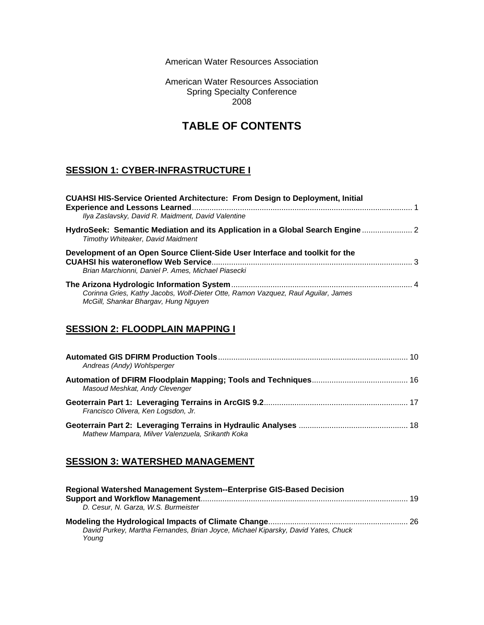American Water Resources Association

American Water Resources Association Spring Specialty Conference 2008

# **TABLE OF CONTENTS**

## **SESSION 1: CYBER-INFRASTRUCTURE I**

| <b>CUAHSI HIS-Service Oriented Architecture: From Design to Deployment, Initial</b><br>Ilya Zaslavsky, David R. Maidment, David Valentine |  |
|-------------------------------------------------------------------------------------------------------------------------------------------|--|
| HydroSeek: Semantic Mediation and its Application in a Global Search Engine<br>Timothy Whiteaker, David Maidment                          |  |
| Development of an Open Source Client-Side User Interface and toolkit for the<br>Brian Marchionni, Daniel P. Ames, Michael Piasecki        |  |
| Corinna Gries, Kathy Jacobs, Wolf-Dieter Otte, Ramon Vazquez, Raul Aguilar, James<br>McGill, Shankar Bhargav, Hung Nguyen                 |  |

#### **SESSION 2: FLOODPLAIN MAPPING I**

| Andreas (Andy) Wohlsperger                       |  |
|--------------------------------------------------|--|
| Masoud Meshkat, Andy Clevenger                   |  |
| Francisco Olivera, Ken Logsdon, Jr.              |  |
| Mathew Mampara, Milver Valenzuela, Srikanth Koka |  |

## **SESSION 3: WATERSHED MANAGEMENT**

| Regional Watershed Management System--Enterprise GIS-Based Decision                        |  |
|--------------------------------------------------------------------------------------------|--|
|                                                                                            |  |
| D. Cesur. N. Garza. W.S. Burmeister                                                        |  |
|                                                                                            |  |
| David Purkey, Martha Fernandes, Brian Joyce, Michael Kiparsky, David Yates, Chuck<br>Young |  |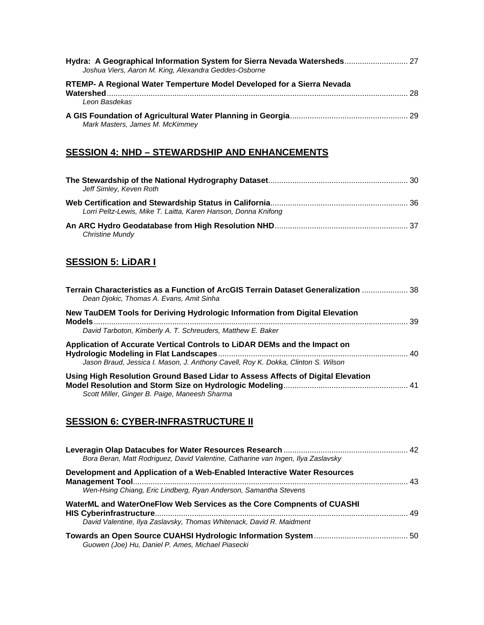| Hydra: A Geographical Information System for Sierra Nevada Watersheds 27<br>Joshua Viers, Aaron M. King, Alexandra Geddes-Osborne |     |
|-----------------------------------------------------------------------------------------------------------------------------------|-----|
| RTEMP- A Regional Water Temperture Model Developed for a Sierra Nevada                                                            | -28 |
| Leon Basdekas                                                                                                                     |     |
| Mark Masters, James M. McKimmey                                                                                                   |     |

## **SESSION 4: NHD – STEWARDSHIP AND ENHANCEMENTS**

| Jeff Simley, Keven Roth                                        |  |
|----------------------------------------------------------------|--|
| Lorri Peltz-Lewis, Mike T. Laitta, Karen Hanson, Donna Knifong |  |
| <b>Christine Mundy</b>                                         |  |

## **SESSION 5: LiDAR I**

| Dean Diokic, Thomas A. Evans, Amit Sinha                                                                                                                       |  |
|----------------------------------------------------------------------------------------------------------------------------------------------------------------|--|
| New TauDEM Tools for Deriving Hydrologic Information from Digital Elevation                                                                                    |  |
| David Tarboton, Kimberly A. T. Schreuders, Matthew E. Baker                                                                                                    |  |
| Application of Accurate Vertical Controls to LiDAR DEMs and the Impact on<br>Jason Braud, Jessica I. Mason, J. Anthony Cavell, Roy K. Dokka, Clinton S. Wilson |  |
| Using High Resolution Ground Based Lidar to Assess Affects of Digital Elevation<br>Scott Miller, Ginger B. Paige, Maneesh Sharma                               |  |

## **SESSION 6: CYBER-INFRASTRUCTURE II**

| Bora Beran, Matt Rodriguez, David Valentine, Catharine van Ingen, Ilya Zaslavsky                                                              |  |
|-----------------------------------------------------------------------------------------------------------------------------------------------|--|
| Development and Application of a Web-Enabled Interactive Water Resources<br>Wen-Hsing Chiang, Eric Lindberg, Ryan Anderson, Samantha Stevens  |  |
| WaterML and WaterOneFlow Web Services as the Core Compnents of CUASHI<br>David Valentine, Ilya Zaslavsky, Thomas Whitenack, David R. Maidment |  |
| Guowen (Joe) Hu, Daniel P. Ames, Michael Piasecki                                                                                             |  |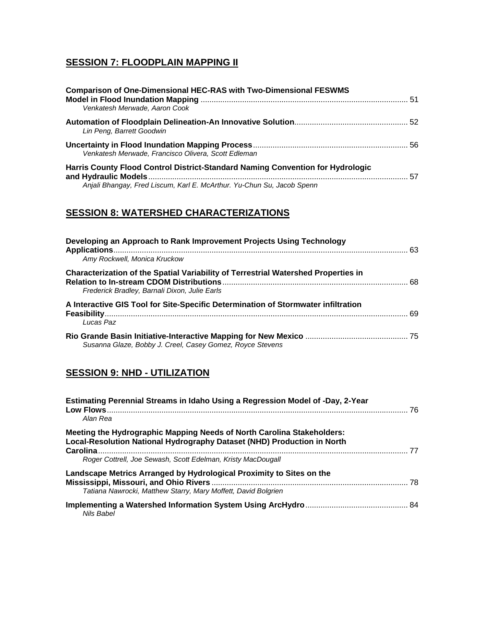## **SESSION 7: FLOODPLAIN MAPPING II**

| <b>Comparison of One-Dimensional HEC-RAS with Two-Dimensional FESWMS</b><br>Venkatesh Merwade, Aaron Cook |    |
|-----------------------------------------------------------------------------------------------------------|----|
|                                                                                                           |    |
| Lin Peng, Barrett Goodwin                                                                                 |    |
| Venkatesh Merwade, Francisco Olivera, Scott Edleman                                                       |    |
| Harris County Flood Control District-Standard Naming Convention for Hydrologic                            | 57 |
| Anjali Bhangay, Fred Liscum, Karl E. McArthur. Yu-Chun Su, Jacob Spenn                                    |    |

## **SESSION 8: WATERSHED CHARACTERIZATIONS**

| Developing an Approach to Rank Improvement Projects Using Technology                                                                |  |
|-------------------------------------------------------------------------------------------------------------------------------------|--|
| Amy Rockwell, Monica Kruckow                                                                                                        |  |
| Characterization of the Spatial Variability of Terrestrial Watershed Properties in<br>Frederick Bradley, Barnali Dixon, Julie Earls |  |
| A Interactive GIS Tool for Site-Specific Determination of Stormwater infiltration<br>Lucas Paz                                      |  |
| Susanna Glaze, Bobby J. Creel, Casey Gomez, Royce Stevens                                                                           |  |

## **SESSION 9: NHD - UTILIZATION**

| Estimating Perennial Streams in Idaho Using a Regression Model of -Day, 2-Year<br>Alan Rea                                                        |      |
|---------------------------------------------------------------------------------------------------------------------------------------------------|------|
| Meeting the Hydrographic Mapping Needs of North Carolina Stakeholders:<br>Local-Resolution National Hydrography Dataset (NHD) Production in North | -77  |
| Roger Cottrell, Joe Sewash, Scott Edelman, Kristy MacDougall                                                                                      |      |
| Landscape Metrics Arranged by Hydrological Proximity to Sites on the<br>Tatiana Nawrocki, Matthew Starry, Mary Moffett, David Bolgrien            | . 78 |
| Nils Babel                                                                                                                                        |      |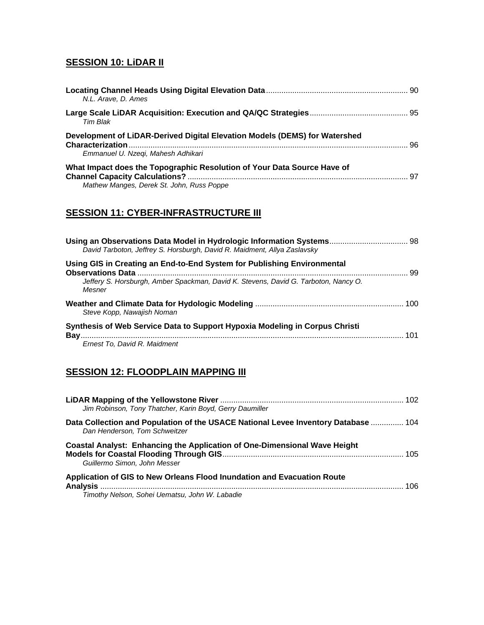## **SESSION 10: LiDAR II**

| N.L. Arave, D. Ames                                                                                                  |  |
|----------------------------------------------------------------------------------------------------------------------|--|
| Tim Blak                                                                                                             |  |
| Development of LiDAR-Derived Digital Elevation Models (DEMS) for Watershed<br>Emmanuel U. Nzeqi, Mahesh Adhikari     |  |
| What Impact does the Topographic Resolution of Your Data Source Have of<br>Mathew Manges, Derek St. John, Russ Poppe |  |

## **SESSION 11: CYBER-INFRASTRUCTURE III**

| Using an Observations Data Model in Hydrologic Information Systems 98<br>David Tarboton, Jeffrey S. Horsburgh, David R. Maidment, Allya Zaslavsky |  |
|---------------------------------------------------------------------------------------------------------------------------------------------------|--|
| Using GIS in Creating an End-to-End System for Publishing Environmental                                                                           |  |
| Jeffery S. Horsburgh, Amber Spackman, David K. Stevens, David G. Tarboton, Nancy O.<br>Mesner                                                     |  |
| Steve Kopp, Nawajish Noman                                                                                                                        |  |
| Synthesis of Web Service Data to Support Hypoxia Modeling in Corpus Christi                                                                       |  |
| Ernest To. David R. Maidment                                                                                                                      |  |

## **SESSION 12: FLOODPLAIN MAPPING III**

| Jim Robinson, Tony Thatcher, Karin Boyd, Gerry Daumiller                                                                  |      |
|---------------------------------------------------------------------------------------------------------------------------|------|
| Data Collection and Population of the USACE National Levee Inventory Database  104<br>Dan Henderson, Tom Schweitzer       |      |
| <b>Coastal Analyst: Enhancing the Application of One-Dimensional Wave Height</b><br>Guillermo Simon, John Messer          |      |
| Application of GIS to New Orleans Flood Inundation and Evacuation Route<br>Timothy Nelson, Sohei Uematsu, John W. Labadie | -106 |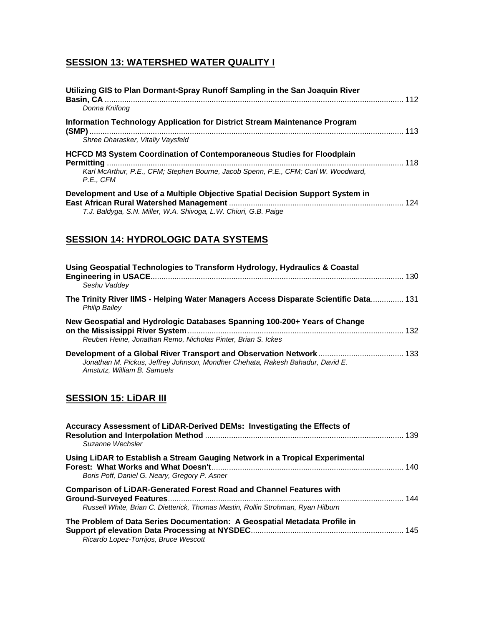## **SESSION 13: WATERSHED WATER QUALITY I**

| Utilizing GIS to Plan Dormant-Spray Runoff Sampling in the San Joaquin River<br>Donna Knifong                                                                              |  |
|----------------------------------------------------------------------------------------------------------------------------------------------------------------------------|--|
| Information Technology Application for District Stream Maintenance Program<br>Shree Dharasker, Vitaliv Vavsfeld                                                            |  |
| HCFCD M3 System Coordination of Contemporaneous Studies for Floodplain<br>Karl McArthur, P.E., CFM; Stephen Bourne, Jacob Spenn, P.E., CFM; Carl W. Woodward,<br>P.E., CFM |  |
| Development and Use of a Multiple Objective Spatial Decision Support System in<br>T.J. Baldyga, S.N. Miller, W.A. Shivoga, L.W. Chiuri, G.B. Paige                         |  |

## **SESSION 14: HYDROLOGIC DATA SYSTEMS**

| Using Geospatial Technologies to Transform Hydrology, Hydraulics & Coastal<br>Seshu Vaddey                    |     |
|---------------------------------------------------------------------------------------------------------------|-----|
| The Trinity River IIMS - Helping Water Managers Access Disparate Scientific Data 131<br><b>Philip Bailev</b>  |     |
| New Geospatial and Hydrologic Databases Spanning 100-200+ Years of Change                                     | 132 |
| Reuben Heine, Jonathan Remo, Nicholas Pinter, Brian S, Ickes                                                  |     |
| Jonathan M. Pickus, Jeffrey Johnson, Mondher Chehata, Rakesh Bahadur, David E.<br>Amstutz, William B. Samuels |     |

## **SESSION 15: LiDAR III**

| Accuracy Assessment of LiDAR-Derived DEMs: Investigating the Effects of<br>Suzanne Wechsler                                                                                                                                                                                           |  |
|---------------------------------------------------------------------------------------------------------------------------------------------------------------------------------------------------------------------------------------------------------------------------------------|--|
| Using LiDAR to Establish a Stream Gauging Network in a Tropical Experimental<br>Boris Poff, Daniel G. Neary, Gregory P. Asner                                                                                                                                                         |  |
| <b>Comparison of LiDAR-Generated Forest Road and Channel Features with</b><br>Russell White, Brian C. Dietterick, Thomas Mastin, Rollin Strohman, Ryan Hilburn<br>The Problem of Data Series Documentation: A Geospatial Metadata Profile in<br>Ricardo Lopez-Torrijos, Bruce Wescott |  |
|                                                                                                                                                                                                                                                                                       |  |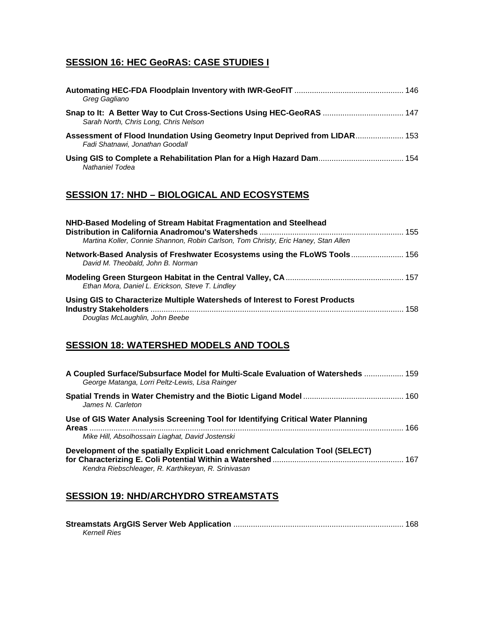## **SESSION 16: HEC GeoRAS: CASE STUDIES I**

| Greg Gagliano                                                                                                  |  |
|----------------------------------------------------------------------------------------------------------------|--|
| Sarah North, Chris Long, Chris Nelson                                                                          |  |
| Assessment of Flood Inundation Using Geometry Input Deprived from LIDAR 153<br>Fadi Shatnawi, Jonathan Goodall |  |
| Nathaniel Todea                                                                                                |  |

## **SESSION 17: NHD – BIOLOGICAL AND ECOSYSTEMS**

| NHD-Based Modeling of Stream Habitat Fragmentation and Steelhead                                               |     |
|----------------------------------------------------------------------------------------------------------------|-----|
| Martina Koller, Connie Shannon, Robin Carlson, Tom Christy, Eric Haney, Stan Allen                             |     |
| David M. Theobald, John B. Norman                                                                              |     |
| Ethan Mora, Daniel L. Erickson, Steve T. Lindley                                                               |     |
| Using GIS to Characterize Multiple Watersheds of Interest to Forest Products<br>Douglas McLaughlin, John Beebe | 158 |

## **SESSION 18: WATERSHED MODELS AND TOOLS**

| A Coupled Surface/Subsurface Model for Multi-Scale Evaluation of Watersheds  159<br>George Matanga, Lorri Peltz-Lewis, Lisa Rainger                                                        |     |
|--------------------------------------------------------------------------------------------------------------------------------------------------------------------------------------------|-----|
| James N. Carleton                                                                                                                                                                          |     |
| Use of GIS Water Analysis Screening Tool for Identifying Critical Water Planning                                                                                                           | 166 |
| Mike Hill, Absolhossain Liaghat, David Jostenski<br>Development of the spatially Explicit Load enrichment Calculation Tool (SELECT)<br>Kendra Riebschleager, R. Karthikeyan, R. Srinivasan |     |

## **SESSION 19: NHD/ARCHYDRO STREAMSTATS**

| Kernell Ries |  |
|--------------|--|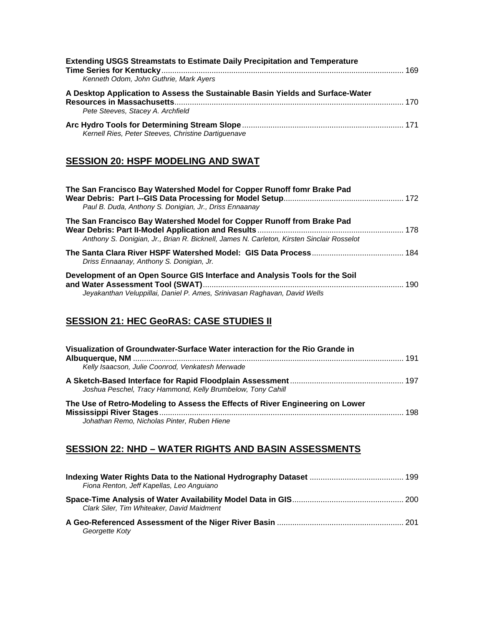| <b>Extending USGS Streamstats to Estimate Daily Precipitation and Temperature</b><br>Kenneth Odom, John Guthrie, Mark Ayers |  |
|-----------------------------------------------------------------------------------------------------------------------------|--|
| A Desktop Application to Assess the Sustainable Basin Yields and Surface-Water<br>Pete Steeves, Stacey A. Archfield         |  |
| Kernell Ries, Peter Steeves, Christine Dartiguenave                                                                         |  |

#### **SESSION 20: HSPF MODELING AND SWAT**

| The San Francisco Bay Watershed Model for Copper Runoff fomr Brake Pad<br>Paul B. Duda, Anthony S. Donigian, Jr., Driss Ennaanay                                    |     |
|---------------------------------------------------------------------------------------------------------------------------------------------------------------------|-----|
| The San Francisco Bay Watershed Model for Copper Runoff from Brake Pad<br>Anthony S. Donigian, Jr., Brian R. Bicknell, James N. Carleton, Kirsten Sinclair Rosselot |     |
| Driss Ennaanay, Anthony S. Donigian, Jr.                                                                                                                            |     |
| Development of an Open Source GIS Interface and Analysis Tools for the Soil<br>Jeyakanthan Veluppillai, Daniel P. Ames, Srinivasan Raghavan, David Wells            | 190 |

## **SESSION 21: HEC GeoRAS: CASE STUDIES II**

| Visualization of Groundwater-Surface Water interaction for the Rio Grande in                                                 |     |
|------------------------------------------------------------------------------------------------------------------------------|-----|
| Kelly Isaacson, Julie Coonrod, Venkatesh Merwade                                                                             |     |
| Joshua Peschel, Tracy Hammond, Kelly Brumbelow, Tony Cahill                                                                  |     |
| The Use of Retro-Modeling to Assess the Effects of River Engineering on Lower<br>Johathan Remo, Nicholas Pinter, Ruben Hiene | 198 |

## **SESSION 22: NHD – WATER RIGHTS AND BASIN ASSESSMENTS**

| Fiona Renton, Jeff Kapellas, Leo Anguiano  |  |
|--------------------------------------------|--|
| Clark Siler, Tim Whiteaker, David Maidment |  |
| Georgette Koty                             |  |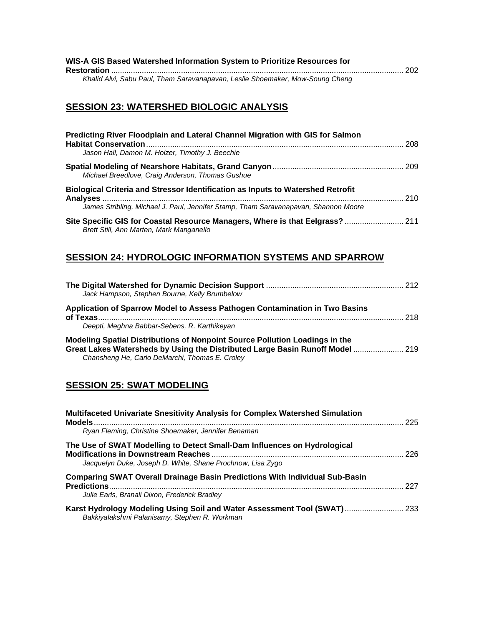| WIS-A GIS Based Watershed Information System to Prioritize Resources for      |  |
|-------------------------------------------------------------------------------|--|
|                                                                               |  |
| Khalid Alvi, Sabu Paul, Tham Saravanapavan, Leslie Shoemaker, Mow-Soung Cheng |  |

## **SESSION 23: WATERSHED BIOLOGIC ANALYSIS**

| Predicting River Floodplain and Lateral Channel Migration with GIS for Salmon                                            |     |
|--------------------------------------------------------------------------------------------------------------------------|-----|
|                                                                                                                          | 208 |
| Jason Hall, Damon M. Holzer, Timothy J. Beechie                                                                          |     |
|                                                                                                                          |     |
| Michael Breedlove, Craig Anderson, Thomas Gushue                                                                         |     |
| Biological Criteria and Stressor Identification as Inputs to Watershed Retrofit                                          |     |
|                                                                                                                          | 210 |
| James Stribling, Michael J. Paul, Jennifer Stamp, Tham Saravanapavan, Shannon Moore                                      |     |
| Site Specific GIS for Coastal Resource Managers, Where is that Eelgrass? 211<br>Brett Still, Ann Marten, Mark Manganello |     |

## **SESSION 24: HYDROLOGIC INFORMATION SYSTEMS AND SPARROW**

| Jack Hampson, Stephen Bourne, Kelly Brumbelow                                                                                                                |     |
|--------------------------------------------------------------------------------------------------------------------------------------------------------------|-----|
| Application of Sparrow Model to Assess Pathogen Contamination in Two Basins                                                                                  | 218 |
| Deepti, Meghna Babbar-Sebens, R. Karthikeyan                                                                                                                 |     |
| Modeling Spatial Distributions of Nonpoint Source Pollution Loadings in the<br>Great Lakes Watersheds by Using the Distributed Large Basin Runoff Model  219 |     |
| Chansheng He, Carlo DeMarchi, Thomas E. Croley                                                                                                               |     |

## **SESSION 25: SWAT MODELING**

| Multifaceted Univariate Snesitivity Analysis for Complex Watershed Simulation<br>$\n  Models  \n  ________  \n  ________  \n  ________$ | 225 |
|-----------------------------------------------------------------------------------------------------------------------------------------|-----|
| Ryan Fleming, Christine Shoemaker, Jennifer Benaman                                                                                     |     |
| The Use of SWAT Modelling to Detect Small-Dam Influences on Hydrological<br>Jacquelyn Duke, Joseph D. White, Shane Prochnow, Lisa Zygo  | 226 |
| <b>Comparing SWAT Overall Drainage Basin Predictions With Individual Sub-Basin</b><br>Julie Earls, Branali Dixon, Frederick Bradley     | 227 |
| Karst Hydrology Modeling Using Soil and Water Assessment Tool (SWAT) 233<br>Bakkiyalakshmi Palanisamy, Stephen R. Workman               |     |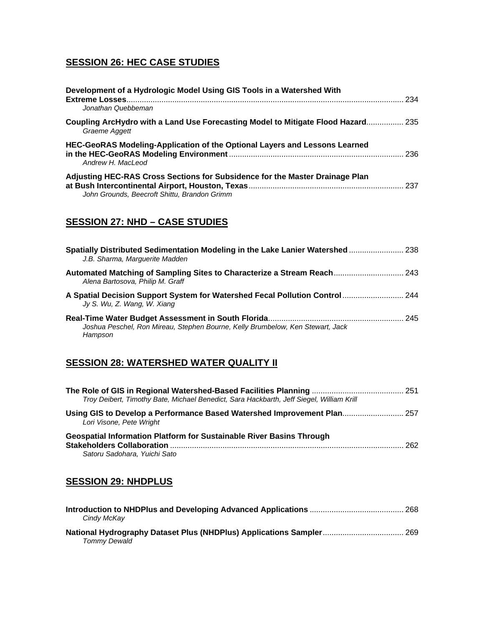## **SESSION 26: HEC CASE STUDIES**

| Development of a Hydrologic Model Using GIS Tools in a Watershed With<br>Extreme Losses                                      | 234 |
|------------------------------------------------------------------------------------------------------------------------------|-----|
| Jonathan Quebbeman                                                                                                           |     |
| Coupling ArcHydro with a Land Use Forecasting Model to Mitigate Flood Hazard 235<br>Graeme Aggett                            |     |
| HEC-GeoRAS Modeling-Application of the Optional Layers and Lessons Learned<br>Andrew H. MacLeod                              | 236 |
| Adjusting HEC-RAS Cross Sections for Subsidence for the Master Drainage Plan<br>John Grounds, Beecroft Shittu, Brandon Grimm | 237 |

## **SESSION 27: NHD – CASE STUDIES**

| Spatially Distributed Sedimentation Modeling in the Lake Lanier Watershed 238<br>J.B. Sharma, Marguerite Madden |  |
|-----------------------------------------------------------------------------------------------------------------|--|
| Automated Matching of Sampling Sites to Characterize a Stream Reach 243<br>Alena Bartosova, Philip M. Graff     |  |
| A Spatial Decision Support System for Watershed Fecal Pollution Control  244<br>Jy S. Wu, Z. Wang, W. Xiang     |  |
| Joshua Peschel, Ron Mireau, Stephen Bourne, Kelly Brumbelow, Ken Stewart, Jack<br>Hampson                       |  |

## **SESSION 28: WATERSHED WATER QUALITY II**

| Troy Deibert, Timothy Bate, Michael Benedict, Sara Hackbarth, Jeff Siegel, William Krill                    |     |
|-------------------------------------------------------------------------------------------------------------|-----|
| Using GIS to Develop a Performance Based Watershed Improvement Plan 257<br>Lori Visone, Pete Wright         |     |
| <b>Geospatial Information Platform for Sustainable River Basins Through</b><br>Satoru Sadohara, Yuichi Sato | 262 |

#### **SESSION 29: NHDPLUS**

| Cindy McKay                                                                          |  |
|--------------------------------------------------------------------------------------|--|
| National Hydrography Dataset Plus (NHDPlus) Applications Sampler 269<br>Tommy Dewald |  |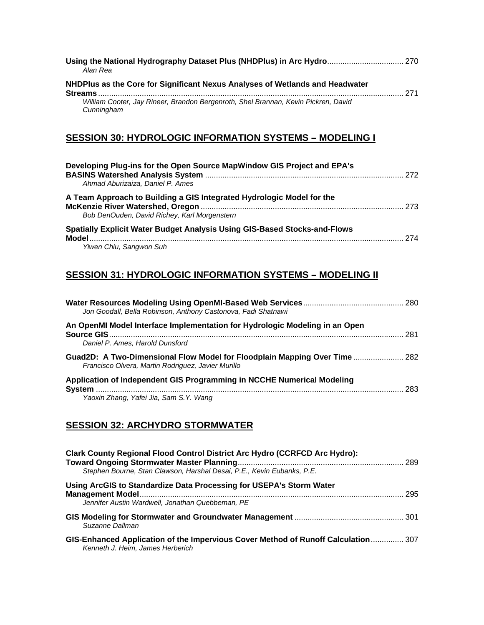| Using the National Hydrography Dataset Plus (NHDPlus) in Arc Hydro 270<br>Alan Rea               |     |
|--------------------------------------------------------------------------------------------------|-----|
| NHDPlus as the Core for Significant Nexus Analyses of Wetlands and Headwater                     | 271 |
| William Cooter, Jay Rineer, Brandon Bergenroth, Shel Brannan, Kevin Pickren, David<br>Cunningham |     |

## **SESSION 30: HYDROLOGIC INFORMATION SYSTEMS – MODELING I**

| Developing Plug-ins for the Open Source MapWindow GIS Project and EPA's<br>Ahmad Aburizaiza, Daniel P. Ames           |     |
|-----------------------------------------------------------------------------------------------------------------------|-----|
| A Team Approach to Building a GIS Integrated Hydrologic Model for the<br>Bob DenOuden, David Richey, Karl Morgenstern | 273 |
| Spatially Explicit Water Budget Analysis Using GIS-Based Stocks-and-Flows<br>Yiwen Chiu, Sangwon Suh                  | 274 |

## **SESSION 31: HYDROLOGIC INFORMATION SYSTEMS – MODELING II**

| Jon Goodall, Bella Robinson, Anthony Castonova, Fadi Shatnawi                                                                    |      |
|----------------------------------------------------------------------------------------------------------------------------------|------|
| An OpenMI Model Interface Implementation for Hydrologic Modeling in an Open<br>Daniel P. Ames. Harold Dunsford                   | -281 |
| Guad2D: A Two-Dimensional Flow Model for Floodplain Mapping Over Time  282<br>Francisco Olvera, Martin Rodriguez, Javier Murillo |      |
| Application of Independent GIS Programming in NCCHE Numerical Modeling<br>Yaoxin Zhang, Yafei Jia, Sam S.Y. Wang                 | 283  |

## **SESSION 32: ARCHYDRO STORMWATER**

| <b>Clark County Regional Flood Control District Arc Hydro (CCRFCD Arc Hydro):</b><br>Stephen Bourne, Stan Clawson, Harshal Desai, P.E., Kevin Eubanks, P.E. |     |
|-------------------------------------------------------------------------------------------------------------------------------------------------------------|-----|
| Using ArcGIS to Standardize Data Processing for USEPA's Storm Water<br>Jennifer Austin Wardwell, Jonathan Quebbeman, PE                                     | 295 |
| Suzanne Dallman                                                                                                                                             |     |
| GIS-Enhanced Application of the Impervious Cover Method of Runoff Calculation 307<br>Kenneth J. Heim, James Herberich                                       |     |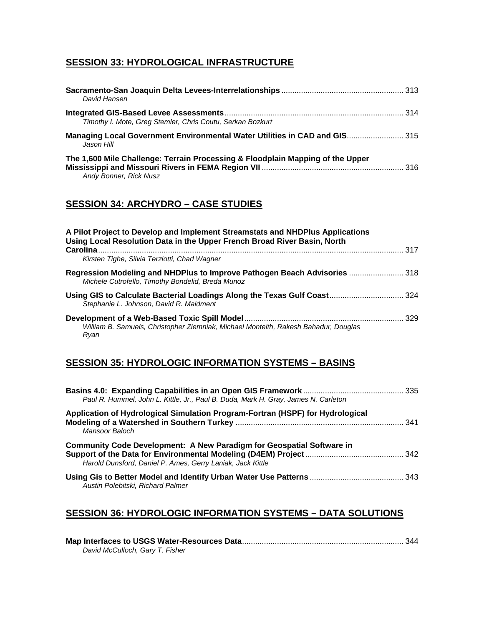## **SESSION 33: HYDROLOGICAL INFRASTRUCTURE**

| David Hansen                                                                                             |  |
|----------------------------------------------------------------------------------------------------------|--|
| Timothy I. Mote, Greg Stemler, Chris Coutu, Serkan Bozkurt                                               |  |
| Managing Local Government Environmental Water Utilities in CAD and GIS 315<br>Jason Hill                 |  |
| The 1,600 Mile Challenge: Terrain Processing & Floodplain Mapping of the Upper<br>Andy Bonner, Rick Nusz |  |

#### **SESSION 34: ARCHYDRO – CASE STUDIES**

| A Pilot Project to Develop and Implement Streamstats and NHDPlus Applications<br>Using Local Resolution Data in the Upper French Broad River Basin, North |      |
|-----------------------------------------------------------------------------------------------------------------------------------------------------------|------|
| Carolina.<br>Kirsten Tighe, Silvia Terziotti, Chad Wagner                                                                                                 | -317 |
| Regression Modeling and NHDPlus to Improve Pathogen Beach Advisories  318<br>Michele Cutrofello, Timothy Bondelid, Breda Munoz                            |      |
| Using GIS to Calculate Bacterial Loadings Along the Texas Gulf Coast 324<br>Stephanie L. Johnson, David R. Maidment                                       |      |
| William B. Samuels, Christopher Ziemniak, Michael Monteith, Rakesh Bahadur, Douglas<br>Rvan                                                               |      |

## **SESSION 35: HYDROLOGIC INFORMATION SYSTEMS – BASINS**

| Paul R. Hummel, John L. Kittle, Jr., Paul B. Duda, Mark H. Gray, James N. Carleton                                                         |  |
|--------------------------------------------------------------------------------------------------------------------------------------------|--|
| Application of Hydrological Simulation Program-Fortran (HSPF) for Hydrological<br>Mansoor Baloch                                           |  |
| <b>Community Code Development: A New Paradigm for Geospatial Software in</b><br>Harold Dunsford, Daniel P. Ames, Gerry Laniak, Jack Kittle |  |
| Austin Polebitski, Richard Palmer                                                                                                          |  |

## **SESSION 36: HYDROLOGIC INFORMATION SYSTEMS – DATA SOLUTIONS**

| David McCulloch, Gary T. Fisher |  |
|---------------------------------|--|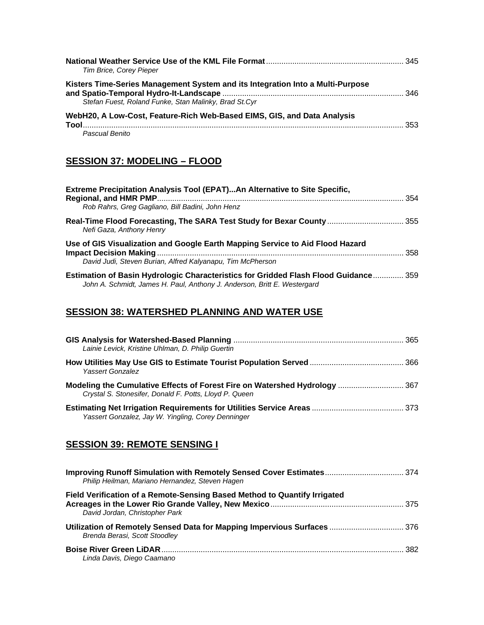| Tim Brice, Corey Pieper                                                                                                                 |     |
|-----------------------------------------------------------------------------------------------------------------------------------------|-----|
| Kisters Time-Series Management System and its Integration Into a Multi-Purpose<br>Stefan Fuest, Roland Funke, Stan Malinky, Brad St.Cyr |     |
| WebH20, A Low-Cost, Feature-Rich Web-Based EIMS, GIS, and Data Analysis<br>Pascual Benito                                               | 353 |

## **SESSION 37: MODELING – FLOOD**

| Extreme Precipitation Analysis Tool (EPAT)An Alternative to Site Specific,                                                                                      | . 354 |
|-----------------------------------------------------------------------------------------------------------------------------------------------------------------|-------|
| Rob Rahrs, Greg Gagliano, Bill Badini, John Henz                                                                                                                |       |
| Real-Time Flood Forecasting, The SARA Test Study for Bexar County  355<br>Nefi Gaza, Anthony Henry                                                              |       |
| Use of GIS Visualization and Google Earth Mapping Service to Aid Flood Hazard                                                                                   |       |
| David Judi, Steven Burian, Alfred Kalyanapu, Tim McPherson                                                                                                      |       |
| Estimation of Basin Hydrologic Characteristics for Gridded Flash Flood Guidance 359<br>John A. Schmidt, James H. Paul, Anthony J. Anderson, Britt E. Westergard |       |

## **SESSION 38: WATERSHED PLANNING AND WATER USE**

| Lainie Levick, Kristine Uhlman, D. Philip Guertin                                                                                    |  |
|--------------------------------------------------------------------------------------------------------------------------------------|--|
| Yassert Gonzalez                                                                                                                     |  |
| Modeling the Cumulative Effects of Forest Fire on Watershed Hydrology  367<br>Crystal S. Stonesifer, Donald F. Potts, Lloyd P. Queen |  |
| Yassert Gonzalez, Jay W. Yingling, Corey Denninger                                                                                   |  |

## **SESSION 39: REMOTE SENSING I**

| Improving Runoff Simulation with Remotely Sensed Cover Estimates 374<br>Philip Heilman, Mariano Hernandez, Steven Hagen |      |
|-------------------------------------------------------------------------------------------------------------------------|------|
| Field Verification of a Remote-Sensing Based Method to Quantify Irrigated<br>David Jordan, Christopher Park             |      |
| Utilization of Remotely Sensed Data for Mapping Impervious Surfaces  376<br>Brenda Berasi, Scott Stoodley               |      |
| Linda Davis, Diego Caamano                                                                                              | -382 |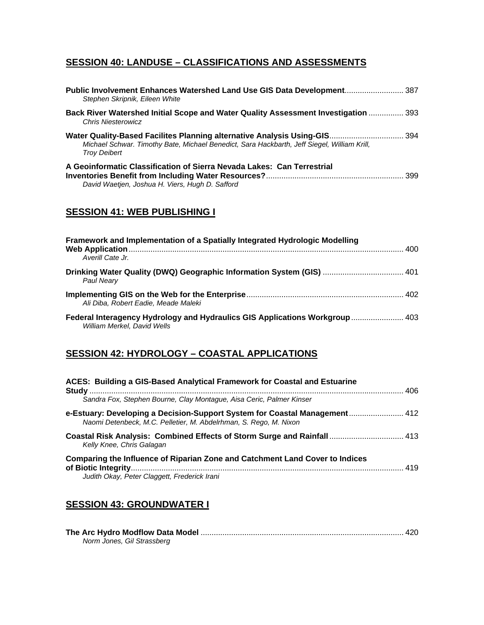## **SESSION 40: LANDUSE – CLASSIFICATIONS AND ASSESSMENTS**

| Public Involvement Enhances Watershed Land Use GIS Data Development 387<br>Stephen Skripnik, Eileen White                                                                                       |     |
|-------------------------------------------------------------------------------------------------------------------------------------------------------------------------------------------------|-----|
| <b>Back River Watershed Initial Scope and Water Quality Assessment Investigation  393</b><br><b>Chris Niesterowicz</b>                                                                          |     |
| Water Quality-Based Facilites Planning alternative Analysis Using-GIS 394<br>Michael Schwar. Timothy Bate, Michael Benedict, Sara Hackbarth, Jeff Siegel, William Krill,<br><b>Troy Deibert</b> |     |
| A Geoinformatic Classification of Sierra Nevada Lakes: Can Terrestrial<br>David Waetjen, Joshua H. Viers, Hugh D. Safford                                                                       | 399 |

## **SESSION 41: WEB PUBLISHING I**

| Framework and Implementation of a Spatially Integrated Hydrologic Modelling                                 |  |
|-------------------------------------------------------------------------------------------------------------|--|
| Averill Cate Jr.                                                                                            |  |
| Drinking Water Quality (DWQ) Geographic Information System (GIS)  401<br>Paul Nearv                         |  |
| Ali Diba. Robert Eadie. Meade Maleki                                                                        |  |
| Federal Interagency Hydrology and Hydraulics GIS Applications Workgroup  403<br>William Merkel, David Wells |  |

## **SESSION 42: HYDROLOGY – COASTAL APPLICATIONS**

| ACES: Building a GIS-Based Analytical Framework for Coastal and Estuarine                                                                       |  |
|-------------------------------------------------------------------------------------------------------------------------------------------------|--|
| Sandra Fox, Stephen Bourne, Clay Montague, Aisa Ceric, Palmer Kinser                                                                            |  |
| e-Estuary: Developing a Decision-Support System for Coastal Management 412<br>Naomi Detenbeck, M.C. Pelletier, M. Abdelrhman, S. Rego, M. Nixon |  |
| Coastal Risk Analysis: Combined Effects of Storm Surge and Rainfall 413<br>Kelly Knee, Chris Galagan                                            |  |
| Comparing the Influence of Riparian Zone and Catchment Land Cover to Indices<br>Judith Okay, Peter Claggett, Frederick Irani                    |  |

## **SESSION 43: GROUNDWATER I**

| Norm Jones, Gil Strassberg |  |
|----------------------------|--|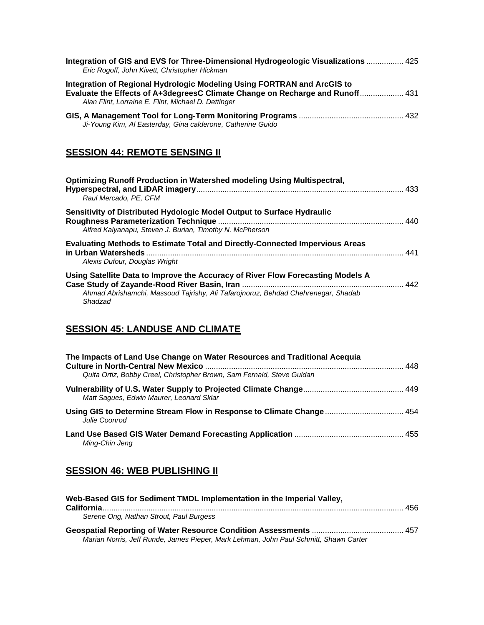| Integration of GIS and EVS for Three-Dimensional Hydrogeologic Visualizations  425<br>Eric Rogoff, John Kivett, Christopher Hickman                                                                             |  |
|-----------------------------------------------------------------------------------------------------------------------------------------------------------------------------------------------------------------|--|
| Integration of Regional Hydrologic Modeling Using FORTRAN and ArcGIS to<br>Evaluate the Effects of A+3degreesC Climate Change on Recharge and Runoff 431<br>Alan Flint, Lorraine E. Flint, Michael D. Dettinger |  |
| Ji-Young Kim, Al Easterday, Gina calderone, Catherine Guido                                                                                                                                                     |  |

## **SESSION 44: REMOTE SENSING II**

| Optimizing Runoff Production in Watershed modeling Using Multispectral,<br>Raul Mercado, PE, CFM                                                                                | . 433 |
|---------------------------------------------------------------------------------------------------------------------------------------------------------------------------------|-------|
| Sensitivity of Distributed Hydologic Model Output to Surface Hydraulic<br>Alfred Kalyanapu, Steven J. Burian, Timothy N. McPherson                                              |       |
| <b>Evaluating Methods to Estimate Total and Directly-Connected Impervious Areas</b><br>Alexis Dufour, Douglas Wright                                                            | 441   |
| Using Satellite Data to Improve the Accuracy of River Flow Forecasting Models A<br>Ahmad Abrishamchi, Massoud Tajrishy, Ali Tafarojnoruz, Behdad Chehrenegar, Shadab<br>Shadzad |       |

## **SESSION 45: LANDUSE AND CLIMATE**

| The Impacts of Land Use Change on Water Resources and Traditional Acequia             |  |
|---------------------------------------------------------------------------------------|--|
| Quita Ortiz, Bobby Creel, Christopher Brown, Sam Fernald, Steve Guldan                |  |
| Matt Sagues, Edwin Maurer, Leonard Sklar                                              |  |
| Using GIS to Determine Stream Flow in Response to Climate Change 454<br>Julie Coonrod |  |
| Ming-Chin Jeng                                                                        |  |

## **SESSION 46: WEB PUBLISHING II**

| Web-Based GIS for Sediment TMDL Implementation in the Imperial Valley,                |  |
|---------------------------------------------------------------------------------------|--|
| Serene Ong, Nathan Strout, Paul Burgess                                               |  |
|                                                                                       |  |
| Marian Norris, Jeff Runde, James Pieper, Mark Lehman, John Paul Schmitt, Shawn Carter |  |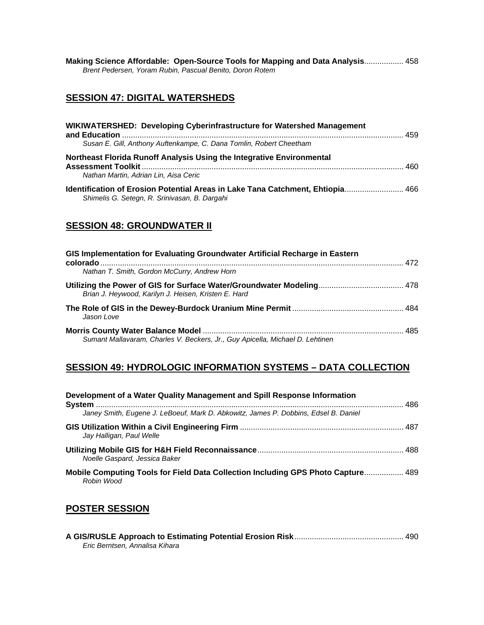**Making Science Affordable: Open-Source Tools for Mapping and Data Analysis**.................. 458 *Brent Pedersen, Yoram Rubin, Pascual Benito, Doron Rotem* 

## **SESSION 47: DIGITAL WATERSHEDS**

| WIKIWATERSHED: Developing Cyberinfrastructure for Watershed Management                                                          |     |
|---------------------------------------------------------------------------------------------------------------------------------|-----|
| Susan E. Gill, Anthony Auftenkampe, C. Dana Tomlin, Robert Cheetham                                                             |     |
| Northeast Florida Runoff Analysis Using the Integrative Environmental<br>Nathan Martin, Adrian Lin, Aisa Ceric                  | 460 |
| Identification of Erosion Potential Areas in Lake Tana Catchment, Ehtiopia 466<br>Shimelis G. Setegn, R. Srinivasan, B. Dargahi |     |

#### **SESSION 48: GROUNDWATER II**

| GIS Implementation for Evaluating Groundwater Artificial Recharge in Eastern                                                  |  |
|-------------------------------------------------------------------------------------------------------------------------------|--|
| Nathan T. Smith, Gordon McCurry, Andrew Horn                                                                                  |  |
| Utilizing the Power of GIS for Surface Water/Groundwater Modeling 478<br>Brian J. Heywood, Karilyn J. Heisen, Kristen E. Hard |  |
| Jason Love                                                                                                                    |  |
| Sumant Mallavaram, Charles V. Beckers, Jr., Guy Apicella, Michael D. Lehtinen                                                 |  |

# **SESSION 49: HYDROLOGIC INFORMATION SYSTEMS – DATA COLLECTION**

| Development of a Water Quality Management and Spill Response Information                       |  |
|------------------------------------------------------------------------------------------------|--|
| Janey Smith, Eugene J. LeBoeuf, Mark D. Abkowitz, James P. Dobbins, Edsel B. Daniel            |  |
| Jay Halligan, Paul Welle                                                                       |  |
| Noelle Gaspard, Jessica Baker                                                                  |  |
| Mobile Computing Tools for Field Data Collection Including GPS Photo Capture 489<br>Robin Wood |  |

## **POSTER SESSION**

| Eric Berntsen. Annalisa Kihara |  |
|--------------------------------|--|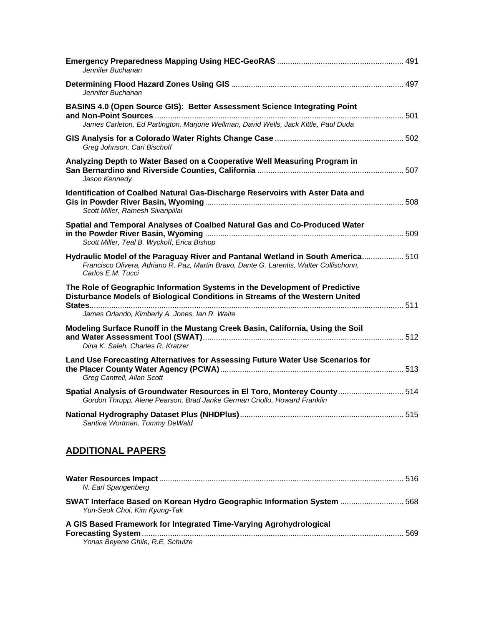| Jennifer Buchanan                                                                                                                                                                               |  |
|-------------------------------------------------------------------------------------------------------------------------------------------------------------------------------------------------|--|
| Jennifer Buchanan                                                                                                                                                                               |  |
| BASINS 4.0 (Open Source GIS): Better Assessment Science Integrating Point<br>James Carleton, Ed Partington, Marjorie Wellman, David Wells, Jack Kittle, Paul Duda                               |  |
| Greg Johnson, Cari Bischoff                                                                                                                                                                     |  |
| Analyzing Depth to Water Based on a Cooperative Well Measuring Program in<br>Jason Kennedy                                                                                                      |  |
| Identification of Coalbed Natural Gas-Discharge Reservoirs with Aster Data and<br>Scott Miller, Ramesh Sivanpillai                                                                              |  |
| Spatial and Temporal Analyses of Coalbed Natural Gas and Co-Produced Water<br>Scott Miller, Teal B. Wyckoff, Erica Bishop                                                                       |  |
| Hydraulic Model of the Paraguay River and Pantanal Wetland in South America 510<br>Francisco Olivera, Adriano R. Paz, Martin Bravo, Dante G. Larentis, Walter Collischonn,<br>Carlos E.M. Tucci |  |
| The Role of Geographic Information Systems in the Development of Predictive<br>Disturbance Models of Biological Conditions in Streams of the Western United                                     |  |
| James Orlando, Kimberly A. Jones, Ian R. Waite                                                                                                                                                  |  |
| Modeling Surface Runoff in the Mustang Creek Basin, California, Using the Soil<br>Dina K. Saleh, Charles R. Kratzer                                                                             |  |
| Land Use Forecasting Alternatives for Assessing Future Water Use Scenarios for<br>Greg Cantrell, Allan Scott                                                                                    |  |
| Spatial Analysis of Groundwater Resources in El Toro, Monterey County 514<br>Gordon Thrupp, Alene Pearson, Brad Janke German Criollo, Howard Franklin                                           |  |
| Santina Wortman, Tommy DeWald                                                                                                                                                                   |  |

## **ADDITIONAL PAPERS**

| N. Earl Spangenberg                                                                                     |     |
|---------------------------------------------------------------------------------------------------------|-----|
| SWAT Interface Based on Korean Hydro Geographic Information System  568<br>Yun-Seok Choi, Kim Kyung-Tak |     |
| A GIS Based Framework for Integrated Time-Varying Agrohydrological                                      | 569 |
| Yonas Beyene Ghile, R.E. Schulze                                                                        |     |